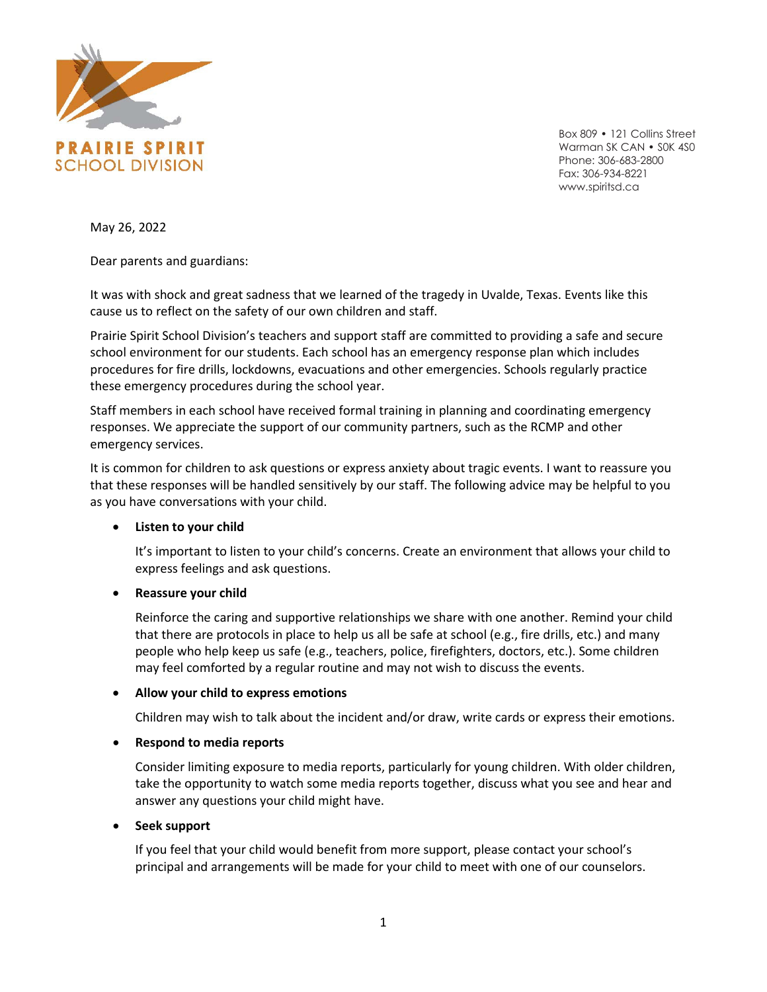

Box 809 • 121 Collins Street Warman SK CAN • SOK 4SO Phone: 306-683-2800 Fax: 306-934-8221 www.spiritsd.ca

May 26, 2022

Dear parents and guardians:

It was with shock and great sadness that we learned of the tragedy in Uvalde, Texas. Events like this cause us to reflect on the safety of our own children and staff.

Prairie Spirit School Division's teachers and support staff are committed to providing a safe and secure school environment for our students. Each school has an emergency response plan which includes procedures for fire drills, lockdowns, evacuations and other emergencies. Schools regularly practice these emergency procedures during the school year.

Staff members in each school have received formal training in planning and coordinating emergency responses. We appreciate the support of our community partners, such as the RCMP and other emergency services.

It is common for children to ask questions or express anxiety about tragic events. I want to reassure you that these responses will be handled sensitively by our staff. The following advice may be helpful to you as you have conversations with your child.

# • **Listen to your child**

It's important to listen to your child's concerns. Create an environment that allows your child to express feelings and ask questions.

# • **Reassure your child**

Reinforce the caring and supportive relationships we share with one another. Remind your child that there are protocols in place to help us all be safe at school (e.g., fire drills, etc.) and many people who help keep us safe (e.g., teachers, police, firefighters, doctors, etc.). Some children may feel comforted by a regular routine and may not wish to discuss the events.

## • **Allow your child to express emotions**

Children may wish to talk about the incident and/or draw, write cards or express their emotions.

## • **Respond to media reports**

Consider limiting exposure to media reports, particularly for young children. With older children, take the opportunity to watch some media reports together, discuss what you see and hear and answer any questions your child might have.

## • **Seek support**

If you feel that your child would benefit from more support, please contact your school's principal and arrangements will be made for your child to meet with one of our counselors.